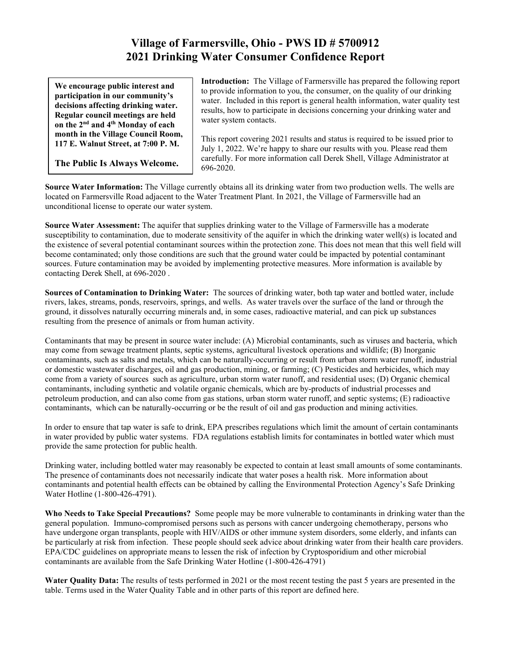## **Village of Farmersville, Ohio - PWS ID # 5700912 2021 Drinking Water Consumer Confidence Report**

**We encourage public interest and participation in our community's decisions affecting drinking water. Regular council meetings are held on the 2nd and 4th Monday of each month in the Village Council Room, 117 E. Walnut Street, at 7:00 P. M.**

**The Public Is Always Welcome.** 

**Introduction:** The Village of Farmersville has prepared the following report to provide information to you, the consumer, on the quality of our drinking water. Included in this report is general health information, water quality test results, how to participate in decisions concerning your drinking water and water system contacts.

This report covering 2021 results and status is required to be issued prior to July 1, 2022. We're happy to share our results with you. Please read them carefully. For more information call Derek Shell, Village Administrator at 696-2020.

**Source Water Information:** The Village currently obtains all its drinking water from two production wells. The wells are located on Farmersville Road adjacent to the Water Treatment Plant. In 2021, the Village of Farmersville had an unconditional license to operate our water system.

**Source Water Assessment:** The aquifer that supplies drinking water to the Village of Farmersville has a moderate susceptibility to contamination, due to moderate sensitivity of the aquifer in which the drinking water well(s) is located and the existence of several potential contaminant sources within the protection zone. This does not mean that this well field will become contaminated; only those conditions are such that the ground water could be impacted by potential contaminant sources. Future contamination may be avoided by implementing protective measures. More information is available by contacting Derek Shell, at 696-2020 .

**Sources of Contamination to Drinking Water:** The sources of drinking water, both tap water and bottled water, include rivers, lakes, streams, ponds, reservoirs, springs, and wells. As water travels over the surface of the land or through the ground, it dissolves naturally occurring minerals and, in some cases, radioactive material, and can pick up substances resulting from the presence of animals or from human activity.

Contaminants that may be present in source water include: (A) Microbial contaminants, such as viruses and bacteria, which may come from sewage treatment plants, septic systems, agricultural livestock operations and wildlife; (B) Inorganic contaminants, such as salts and metals, which can be naturally-occurring or result from urban storm water runoff, industrial or domestic wastewater discharges, oil and gas production, mining, or farming; (C) Pesticides and herbicides, which may come from a variety of sources such as agriculture, urban storm water runoff, and residential uses; (D) Organic chemical contaminants, including synthetic and volatile organic chemicals, which are by-products of industrial processes and petroleum production, and can also come from gas stations, urban storm water runoff, and septic systems; (E) radioactive contaminants, which can be naturally-occurring or be the result of oil and gas production and mining activities.

In order to ensure that tap water is safe to drink, EPA prescribes regulations which limit the amount of certain contaminants in water provided by public water systems. FDA regulations establish limits for contaminates in bottled water which must provide the same protection for public health.

Drinking water, including bottled water may reasonably be expected to contain at least small amounts of some contaminants. The presence of contaminants does not necessarily indicate that water poses a health risk. More information about contaminants and potential health effects can be obtained by calling the Environmental Protection Agency's Safe Drinking Water Hotline (1-800-426-4791).

**Who Needs to Take Special Precautions?** Some people may be more vulnerable to contaminants in drinking water than the general population. Immuno-compromised persons such as persons with cancer undergoing chemotherapy, persons who have undergone organ transplants, people with HIV/AIDS or other immune system disorders, some elderly, and infants can be particularly at risk from infection. These people should seek advice about drinking water from their health care providers. EPA/CDC guidelines on appropriate means to lessen the risk of infection by Cryptosporidium and other microbial contaminants are available from the Safe Drinking Water Hotline (1-800-426-4791)

**Water Quality Data:** The results of tests performed in 2021 or the most recent testing the past 5 years are presented in the table. Terms used in the Water Quality Table and in other parts of this report are defined here.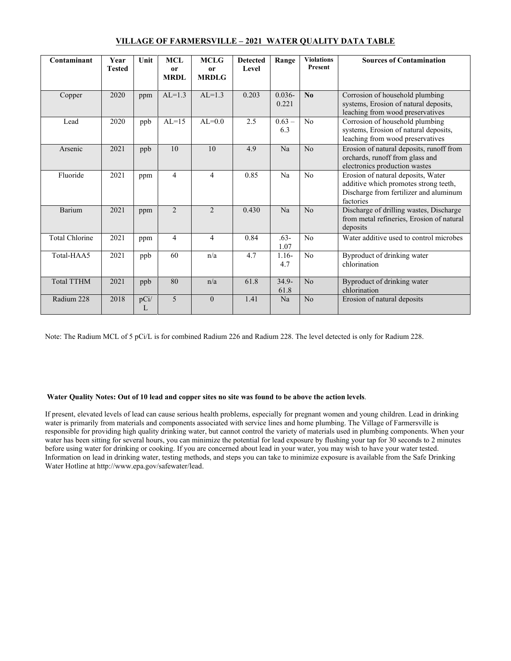| Contaminant           | Year<br><b>Tested</b> | Unit      | <b>MCL</b><br>or<br><b>MRDL</b> | <b>MCLG</b><br><sub>or</sub><br><b>MRDLG</b> | <b>Detected</b><br>Level | Range              | <b>Violations</b><br>Present | <b>Sources of Contamination</b>                                                                                                    |
|-----------------------|-----------------------|-----------|---------------------------------|----------------------------------------------|--------------------------|--------------------|------------------------------|------------------------------------------------------------------------------------------------------------------------------------|
| Copper                | 2020                  | ppm       | $AL=1.3$                        | $AL=1.3$                                     | 0.203                    | $0.036 -$<br>0.221 | $\mathbf{N}\mathbf{0}$       | Corrosion of household plumbing<br>systems, Erosion of natural deposits,<br>leaching from wood preservatives                       |
| Lead                  | 2020                  | ppb       | $AL=15$                         | $AL=0.0$                                     | 2.5                      | $0.63 -$<br>6.3    | No                           | Corrosion of household plumbing<br>systems, Erosion of natural deposits,<br>leaching from wood preservatives                       |
| Arsenic               | 2021                  | ppb       | 10                              | 10                                           | 4.9                      | Na                 | No                           | Erosion of natural deposits, runoff from<br>orchards, runoff from glass and<br>electronics production wastes                       |
| Fluoride              | 2021                  | ppm       | 4                               | $\overline{4}$                               | 0.85                     | Na                 | No                           | Erosion of natural deposits, Water<br>additive which promotes strong teeth,<br>Discharge from fertilizer and aluminum<br>factories |
| Barium                | 2021                  | ppm       | $\mathfrak{D}$                  | $\mathfrak{D}$                               | 0.430                    | Na                 | No                           | Discharge of drilling wastes, Discharge<br>from metal refineries, Erosion of natural<br>deposits                                   |
| <b>Total Chlorine</b> | 2021                  | ppm       | 4                               | 4                                            | 0.84                     | $.63-$<br>1.07     | No                           | Water additive used to control microbes                                                                                            |
| Total-HAA5            | 2021                  | ppb       | 60                              | n/a                                          | 4.7                      | $1.16-$<br>4.7     | No                           | Byproduct of drinking water<br>chlorination                                                                                        |
| <b>Total TTHM</b>     | 2021                  | ppb       | 80                              | n/a                                          | 61.8                     | $34.9 -$<br>61.8   | No                           | Byproduct of drinking water<br>chlorination                                                                                        |
| Radium 228            | 2018                  | pCi/<br>L | 5                               | $\Omega$                                     | 1.41                     | Na                 | No                           | Erosion of natural deposits                                                                                                        |

## **VILLAGE OF FARMERSVILLE – 2021 WATER QUALITY DATA TABLE**

Note: The Radium MCL of 5 pCi/L is for combined Radium 226 and Radium 228. The level detected is only for Radium 228.

## **Water Quality Notes: Out of 10 lead and copper sites no site was found to be above the action levels**.

If present, elevated levels of lead can cause serious health problems, especially for pregnant women and young children. Lead in drinking water is primarily from materials and components associated with service lines and home plumbing. The Village of Farmersville is responsible for providing high quality drinking water, but cannot control the variety of materials used in plumbing components. When your water has been sitting for several hours, you can minimize the potential for lead exposure by flushing your tap for 30 seconds to 2 minutes before using water for drinking or cooking. If you are concerned about lead in your water, you may wish to have your water tested. Information on lead in drinking water, testing methods, and steps you can take to minimize exposure is available from the Safe Drinking Water Hotline at http://www.epa.gov/safewater/lead.